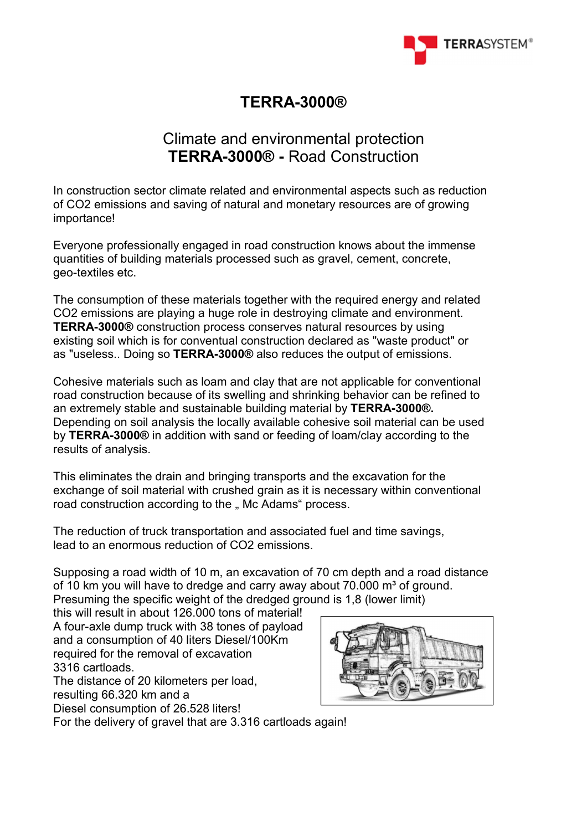

# **TERRA-3000®**

# Climate and environmental protection **TERRA-3000® -** Road Construction

In construction sector climate related and environmental aspects such as reduction of CO2 emissions and saving of natural and monetary resources are of growing importance!

Everyone professionally engaged in road construction knows about the immense quantities of building materials processed such as gravel, cement, concrete, geo-textiles etc.

The consumption of these materials together with the required energy and related CO2 emissions are playing a huge role in destroying climate and environment. **TERRA-3000®** construction process conserves natural resources by using existing soil which is for conventual construction declared as "waste product" or as "useless.. Doing so **TERRA-3000®** also reduces the output of emissions.

Cohesive materials such as loam and clay that are not applicable for conventional road construction because of its swelling and shrinking behavior can be refined to an extremely stable and sustainable building material by **TERRA-3000®.** Depending on soil analysis the locally available cohesive soil material can be used by **TERRA-3000®** in addition with sand or feeding of loam/clay according to the results of analysis.

This eliminates the drain and bringing transports and the excavation for the exchange of soil material with crushed grain as it is necessary within conventional road construction according to the " Mc Adams" process.

The reduction of truck transportation and associated fuel and time savings, lead to an enormous reduction of CO2 emissions.

Supposing a road width of 10 m, an excavation of 70 cm depth and a road distance of 10 km you will have to dredge and carry away about  $70.000$  m<sup>3</sup> of ground. Presuming the specific weight of the dredged ground is 1,8 (lower limit)

this will result in about 126.000 tons of material! A four-axle dump truck with 38 tones of payload and a consumption of 40 liters Diesel/100Km required for the removal of excavation 3316 cartloads.

The distance of 20 kilometers per load,

resulting 66.320 km and a

Diesel consumption of 26.528 liters!

For the delivery of gravel that are 3.316 cartloads again!

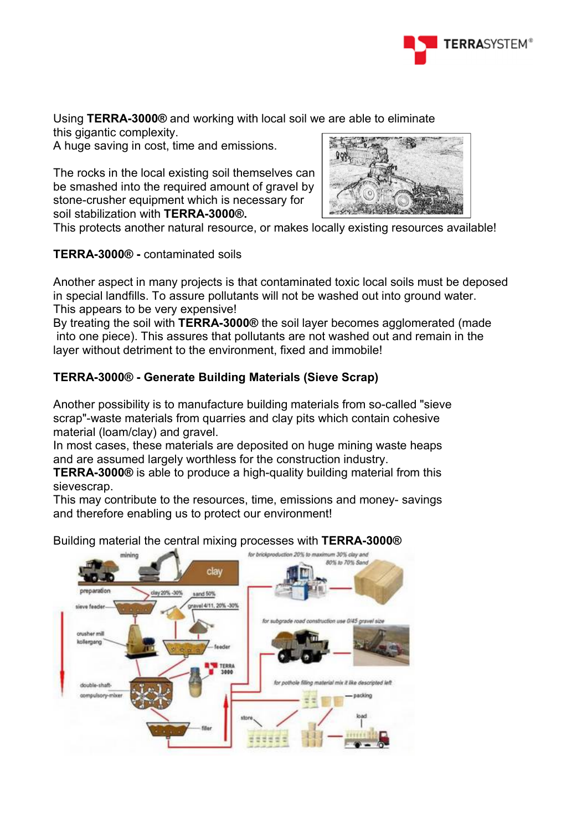

Using **TERRA-3000®** and working with local soil we are able to eliminate

this gigantic complexity.

A huge saving in cost, time and emissions.

The rocks in the local existing soil themselves can be smashed into the required amount of gravel by stone-crusher equipment which is necessary for soil stabilization with **TERRA-3000®.**



This protects another natural resource, or makes locally existing resources available!

## **TERRA-3000® -** contaminated soils

Another aspect in many projects is that contaminated toxic local soils must be deposed in special landfills. To assure pollutants will not be washed out into ground water. This appears to be very expensive!

By treating the soil with **TERRA-3000®** the soil layer becomes agglomerated (made into one piece). This assures that pollutants are not washed out and remain in the layer without detriment to the environment, fixed and immobile!

# **TERRA-3000® - Generate Building Materials (Sieve Scrap)**

Another possibility is to manufacture building materials from so-called "sieve scrap"-waste materials from quarries and clay pits which contain cohesive material (loam/clay) and gravel.

In most cases, these materials are deposited on huge mining waste heaps and are assumed largely worthless for the construction industry.

**TERRA-3000®** is able to produce a high-quality building material from this sievescrap.

This may contribute to the resources, time, emissions and money- savings and therefore enabling us to protect our environment!

Building material the central mixing processes with **TERRA-3000®**

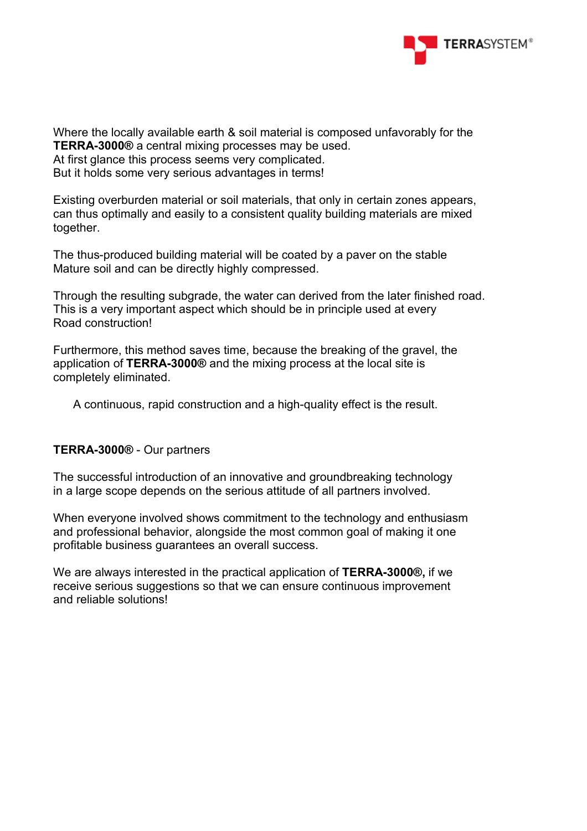

Where the locally available earth & soil material is composed unfavorably for the **TERRA-3000®** a central mixing processes may be used.

At first glance this process seems very complicated.

But it holds some very serious advantages in terms!

Existing overburden material or soil materials, that only in certain zones appears, can thus optimally and easily to a consistent quality building materials are mixed together.

The thus-produced building material will be coated by a paver on the stable Mature soil and can be directly highly compressed.

Through the resulting subgrade, the water can derived from the later finished road. This is a very important aspect which should be in principle used at every Road construction!

Furthermore, this method saves time, because the breaking of the gravel, the application of **TERRA-3000®** and the mixing process at the local site is completely eliminated.

A continuous, rapid construction and a high-quality effect is the result.

#### **TERRA-3000®** - Our partners

The successful introduction of an innovative and groundbreaking technology in a large scope depends on the serious attitude of all partners involved.

When everyone involved shows commitment to the technology and enthusiasm and professional behavior, alongside the most common goal of making it one profitable business guarantees an overall success.

We are always interested in the practical application of **TERRA-3000®,** if we receive serious suggestions so that we can ensure continuous improvement and reliable solutions!